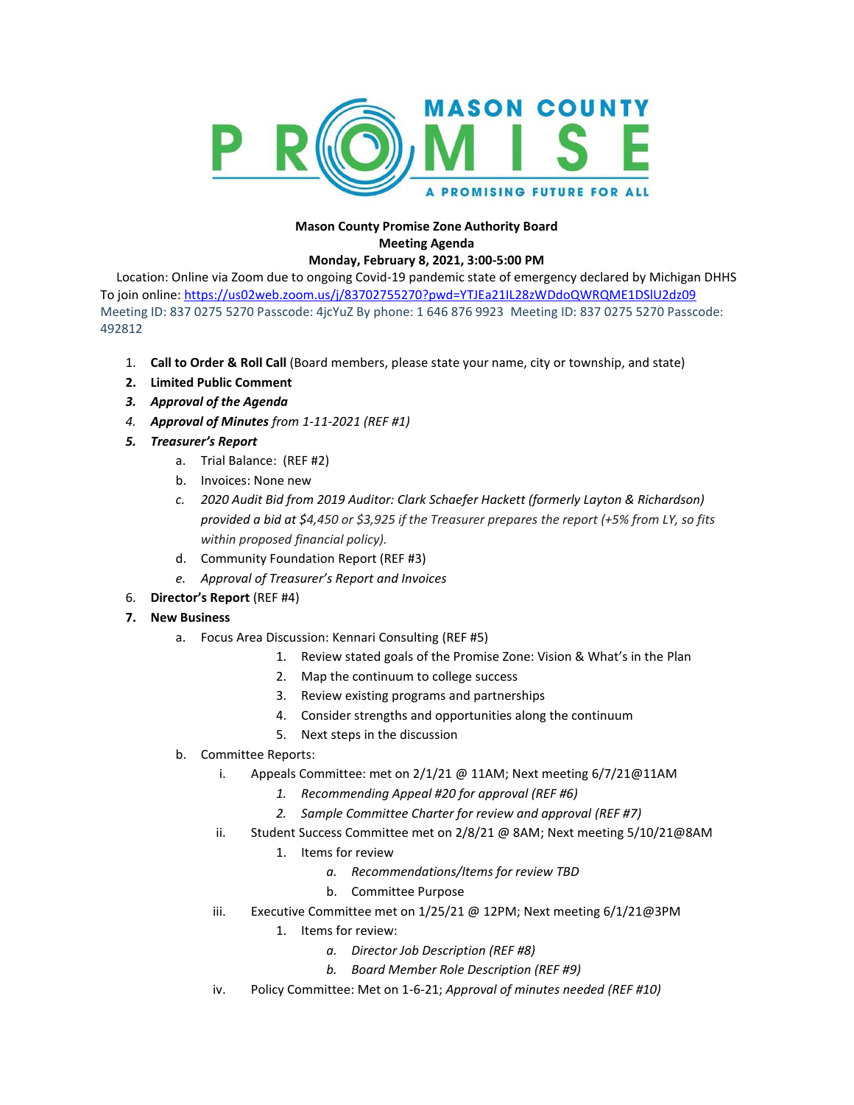

## **Mason County Promise Zone Authority Board Meeting Agenda Monday, February 8, 2021, 3:00-5:00 PM**

Location: Online via Zoom due to ongoing Covid-19 pandemic state of emergency declared by Michigan DHHS To join online: <https://us02web.zoom.us/j/83702755270?pwd=YTJEa21IL28zWDdoQWRQME1DSlU2dz09> Meeting ID: 837 0275 5270 Passcode: 4jcYuZ By phone: 1 646 876 9923 Meeting ID: 837 0275 5270 Passcode: 492812

- 1. **Call to Order & Roll Call** (Board members, please state your name, city or township, and state)
- **2. Limited Public Comment**
- *3. Approval of the Agenda*
- *4. Approval of Minutes from 1-11-2021 (REF #1)*
- *5. Treasurer's Report*
	- a. Trial Balance: (REF #2)
	- b. Invoices: None new
	- *c. 2020 Audit Bid from 2019 Auditor: Clark Schaefer Hackett (formerly Layton & Richardson) provided a bid at \$4,450 or \$3,925 if the Treasurer prepares the report (+5% from LY, so fits within proposed financial policy).*
	- d. Community Foundation Report (REF #3)
	- *e. Approval of Treasurer's Report and Invoices*
- 6. **Director's Report** (REF #4)
- **7. New Business**
	- a. Focus Area Discussion: Kennari Consulting (REF #5)
		- 1. Review stated goals of the Promise Zone: Vision & What's in the Plan
		- 2. Map the continuum to college success
		- 3. Review existing programs and partnerships
		- 4. Consider strengths and opportunities along the continuum
		- 5. Next steps in the discussion
	- b. Committee Reports:
		- i. Appeals Committee: met on 2/1/21 @ 11AM; Next meeting 6/7/21@11AM
			- *1. Recommending Appeal #20 for approval (REF #6)*
			- *2. Sample Committee Charter for review and approval (REF #7)*
		- ii. Student Success Committee met on 2/8/21 @ 8AM; Next meeting 5/10/21@8AM
			- 1. Items for review
				- *a. Recommendations/Items for review TBD*
				- b. Committee Purpose
		- iii. Executive Committee met on 1/25/21 @ 12PM; Next meeting 6/1/21@3PM
			- 1. Items for review:
				- *a. Director Job Description (REF #8)*
				- *b. Board Member Role Description (REF #9)*
		- iv. Policy Committee: Met on 1-6-21; *Approval of minutes needed (REF #10)*